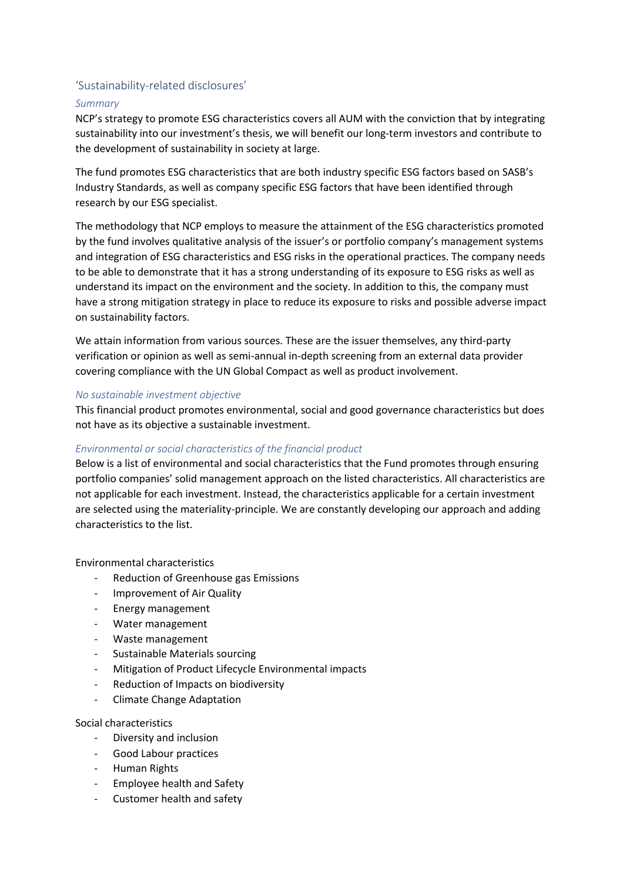# 'Sustainability-related disclosures'

## *Summary*

NCP's strategy to promote ESG characteristics covers all AUM with the conviction that by integrating sustainability into our investment's thesis, we will benefit our long-term investors and contribute to the development of sustainability in society at large.

The fund promotes ESG characteristics that are both industry specific ESG factors based on SASB's Industry Standards, as well as company specific ESG factors that have been identified through research by our ESG specialist.

The methodology that NCP employs to measure the attainment of the ESG characteristics promoted by the fund involves qualitative analysis of the issuer's or portfolio company's management systems and integration of ESG characteristics and ESG risks in the operational practices. The company needs to be able to demonstrate that it has a strong understanding of its exposure to ESG risks as well as understand its impact on the environment and the society. In addition to this, the company must have a strong mitigation strategy in place to reduce its exposure to risks and possible adverse impact on sustainability factors.

We attain information from various sources. These are the issuer themselves, any third-party verification or opinion as well as semi-annual in-depth screening from an external data provider covering compliance with the UN Global Compact as well as product involvement.

### *No sustainable investment objective*

This financial product promotes environmental, social and good governance characteristics but does not have as its objective a sustainable investment.

# *Environmental or social characteristics of the financial product*

Below is a list of environmental and social characteristics that the Fund promotes through ensuring portfolio companies' solid management approach on the listed characteristics. All characteristics are not applicable for each investment. Instead, the characteristics applicable for a certain investment are selected using the materiality-principle. We are constantly developing our approach and adding characteristics to the list.

### Environmental characteristics

- Reduction of Greenhouse gas Emissions
- Improvement of Air Quality
- Energy management
- Water management
- Waste management
- Sustainable Materials sourcing
- Mitigation of Product Lifecycle Environmental impacts
- Reduction of Impacts on biodiversity
- Climate Change Adaptation

### Social characteristics

- Diversity and inclusion
- Good Labour practices
- Human Rights
- Employee health and Safety
- Customer health and safety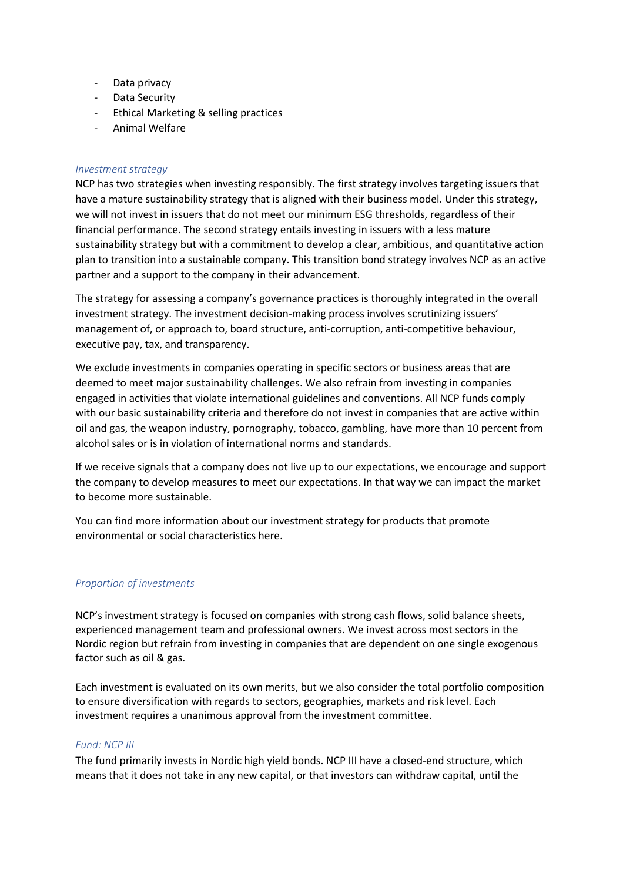- Data privacy
- Data Security
- Ethical Marketing & selling practices
- Animal Welfare

#### *Investment strategy*

NCP has two strategies when investing responsibly. The first strategy involves targeting issuers that have a mature sustainability strategy that is aligned with their business model. Under this strategy, we will not invest in issuers that do not meet our minimum ESG thresholds, regardless of their financial performance. The second strategy entails investing in issuers with a less mature sustainability strategy but with a commitment to develop a clear, ambitious, and quantitative action plan to transition into a sustainable company. This transition bond strategy involves NCP as an active partner and a support to the company in their advancement.

The strategy for assessing a company's governance practices is thoroughly integrated in the overall investment strategy. The investment decision-making process involves scrutinizing issuers' management of, or approach to, board structure, anti-corruption, anti-competitive behaviour, executive pay, tax, and transparency.

We exclude investments in companies operating in specific sectors or business areas that are deemed to meet major sustainability challenges. We also refrain from investing in companies engaged in activities that violate international guidelines and conventions. All NCP funds comply with our basic sustainability criteria and therefore do not invest in companies that are active within oil and gas, the weapon industry, pornography, tobacco, gambling, have more than 10 percent from alcohol sales or is in violation of international norms and standards.

If we receive signals that a company does not live up to our expectations, we encourage and support the company to develop measures to meet our expectations. In that way we can impact the market to become more sustainable.

You can find more information about our investment strategy for products that promote environmental or social characteristics here.

### *Proportion of investments*

NCP's investment strategy is focused on companies with strong cash flows, solid balance sheets, experienced management team and professional owners. We invest across most sectors in the Nordic region but refrain from investing in companies that are dependent on one single exogenous factor such as oil & gas.

Each investment is evaluated on its own merits, but we also consider the total portfolio composition to ensure diversification with regards to sectors, geographies, markets and risk level. Each investment requires a unanimous approval from the investment committee.

### *Fund: NCP III*

The fund primarily invests in Nordic high yield bonds. NCP III have a closed-end structure, which means that it does not take in any new capital, or that investors can withdraw capital, until the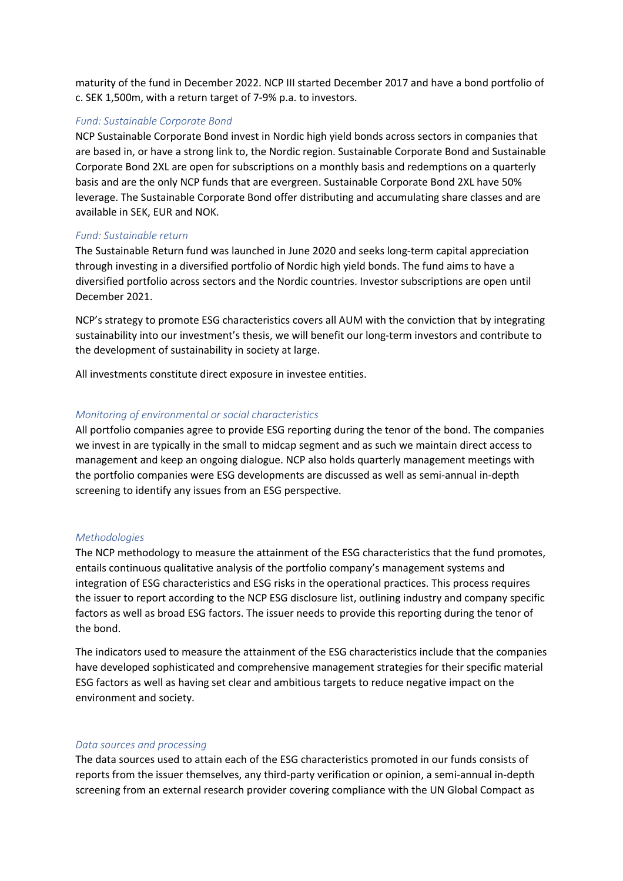maturity of the fund in December 2022. NCP III started December 2017 and have a bond portfolio of c. SEK 1,500m, with a return target of 7-9% p.a. to investors.

## *Fund: Sustainable Corporate Bond*

NCP Sustainable Corporate Bond invest in Nordic high yield bonds across sectors in companies that are based in, or have a strong link to, the Nordic region. Sustainable Corporate Bond and Sustainable Corporate Bond 2XL are open for subscriptions on a monthly basis and redemptions on a quarterly basis and are the only NCP funds that are evergreen. Sustainable Corporate Bond 2XL have 50% leverage. The Sustainable Corporate Bond offer distributing and accumulating share classes and are available in SEK, EUR and NOK.

### *Fund: Sustainable return*

The Sustainable Return fund was launched in June 2020 and seeks long-term capital appreciation through investing in a diversified portfolio of Nordic high yield bonds. The fund aims to have a diversified portfolio across sectors and the Nordic countries. Investor subscriptions are open until December 2021.

NCP's strategy to promote ESG characteristics covers all AUM with the conviction that by integrating sustainability into our investment's thesis, we will benefit our long-term investors and contribute to the development of sustainability in society at large.

All investments constitute direct exposure in investee entities.

## *Monitoring of environmental or social characteristics*

All portfolio companies agree to provide ESG reporting during the tenor of the bond. The companies we invest in are typically in the small to midcap segment and as such we maintain direct access to management and keep an ongoing dialogue. NCP also holds quarterly management meetings with the portfolio companies were ESG developments are discussed as well as semi-annual in-depth screening to identify any issues from an ESG perspective.

### *Methodologies*

The NCP methodology to measure the attainment of the ESG characteristics that the fund promotes, entails continuous qualitative analysis of the portfolio company's management systems and integration of ESG characteristics and ESG risks in the operational practices. This process requires the issuer to report according to the NCP ESG disclosure list, outlining industry and company specific factors as well as broad ESG factors. The issuer needs to provide this reporting during the tenor of the bond.

The indicators used to measure the attainment of the ESG characteristics include that the companies have developed sophisticated and comprehensive management strategies for their specific material ESG factors as well as having set clear and ambitious targets to reduce negative impact on the environment and society.

### *Data sources and processing*

The data sources used to attain each of the ESG characteristics promoted in our funds consists of reports from the issuer themselves, any third-party verification or opinion, a semi-annual in-depth screening from an external research provider covering compliance with the UN Global Compact as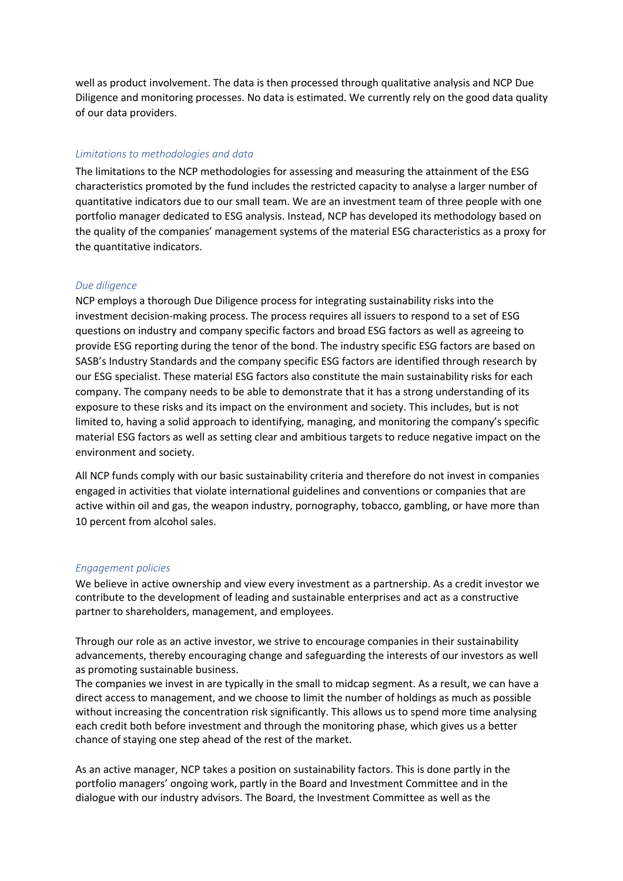well as product involvement. The data is then processed through qualitative analysis and NCP Due Diligence and monitoring processes. No data is estimated. We currently rely on the good data quality of our data providers.

## *Limitations to methodologies and data*

The limitations to the NCP methodologies for assessing and measuring the attainment of the ESG characteristics promoted by the fund includes the restricted capacity to analyse a larger number of quantitative indicators due to our small team. We are an investment team of three people with one portfolio manager dedicated to ESG analysis. Instead, NCP has developed its methodology based on the quality of the companies' management systems of the material ESG characteristics as a proxy for the quantitative indicators.

### *Due diligence*

NCP employs a thorough Due Diligence process for integrating sustainability risks into the investment decision-making process. The process requires all issuers to respond to a set of ESG questions on industry and company specific factors and broad ESG factors as well as agreeing to provide ESG reporting during the tenor of the bond. The industry specific ESG factors are based on SASB's Industry Standards and the company specific ESG factors are identified through research by our ESG specialist. These material ESG factors also constitute the main sustainability risks for each company. The company needs to be able to demonstrate that it has a strong understanding of its exposure to these risks and its impact on the environment and society. This includes, but is not limited to, having a solid approach to identifying, managing, and monitoring the company's specific material ESG factors as well as setting clear and ambitious targets to reduce negative impact on the environment and society.

All NCP funds comply with our basic sustainability criteria and therefore do not invest in companies engaged in activities that violate international guidelines and conventions or companies that are active within oil and gas, the weapon industry, pornography, tobacco, gambling, or have more than 10 percent from alcohol sales.

#### *Engagement policies*

We believe in active ownership and view every investment as a partnership. As a credit investor we contribute to the development of leading and sustainable enterprises and act as a constructive partner to shareholders, management, and employees.

Through our role as an active investor, we strive to encourage companies in their sustainability advancements, thereby encouraging change and safeguarding the interests of our investors as well as promoting sustainable business.

The companies we invest in are typically in the small to midcap segment. As a result, we can have a direct access to management, and we choose to limit the number of holdings as much as possible without increasing the concentration risk significantly. This allows us to spend more time analysing each credit both before investment and through the monitoring phase, which gives us a better chance of staying one step ahead of the rest of the market.

As an active manager, NCP takes a position on sustainability factors. This is done partly in the portfolio managers' ongoing work, partly in the Board and Investment Committee and in the dialogue with our industry advisors. The Board, the Investment Committee as well as the